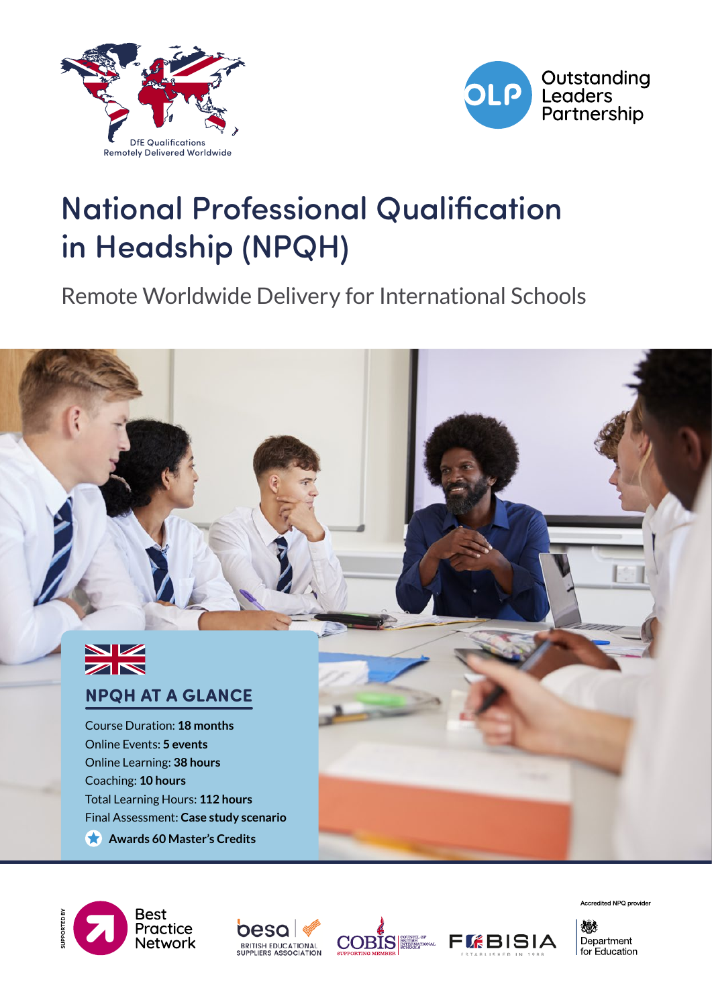



# National Professional Qualification in Headship (NPQH)

Remote Worldwide Delivery for International Schools











Accredited NPQ provider

燃料 Department for Education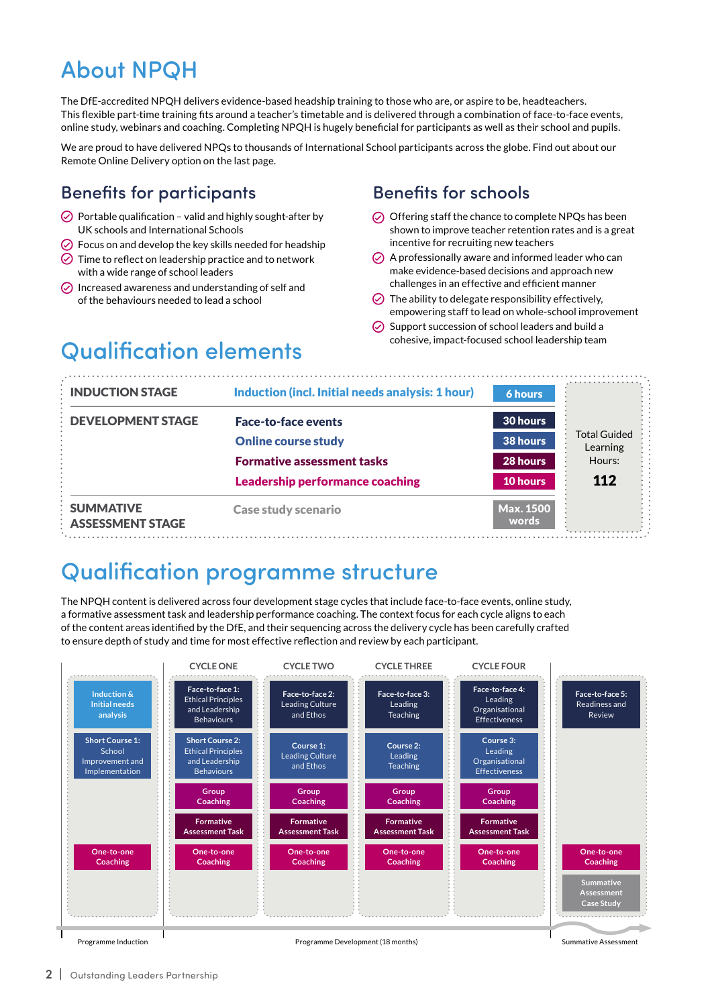## About NPQH

The DfE-accredited NPQH delivers evidence-based headship training to those who are, or aspire to be, headteachers. This flexible part-time training fits around a teacher's timetable and is delivered through a combination of face-to-face events, online study, webinars and coaching. Completing NPQH is hugely beneficial for participants as well as their school and pupils.

We are proud to have delivered NPQs to thousands of International School participants across the globe. Find out about our Remote Online Delivery option on the last page.

### Benefits for participants

- $\odot$  Portable qualification valid and highly sought-after by UK schools and International Schools
- $\odot$  Focus on and develop the key skills needed for headship
- ⋒ Time to reflect on leadership practice and to network with a wide range of school leaders
- $\oslash$  Increased awareness and understanding of self and of the behaviours needed to lead a school

### Benefits for schools

- $\odot$  Offering staff the chance to complete NPQs has been shown to improve teacher retention rates and is a great incentive for recruiting new teachers
- $\oslash$  A professionally aware and informed leader who can make evidence-based decisions and approach new challenges in an effective and efficient manner
- $\oslash$  The ability to delegate responsibility effectively. empowering staff to lead on whole-school improvement
- $\oslash$  Support succession of school leaders and build a cohesive, impact-focused school leadership team

## Qualification elements

| <b>INDUCTION STAGE</b>                      | Induction (incl. Initial needs analysis: 1 hour) | 6 hours                   |                                 |
|---------------------------------------------|--------------------------------------------------|---------------------------|---------------------------------|
| <b>DEVELOPMENT STAGE</b>                    | <b>Face-to-face events</b>                       | 30 hours                  |                                 |
|                                             | <b>Online course study</b>                       | 38 hours                  | <b>Total Guided</b><br>Learning |
|                                             | <b>Formative assessment tasks</b>                | 28 hours                  | Hours:                          |
|                                             | <b>Leadership performance coaching</b>           | 10 hours                  | 112                             |
| <b>SUMMATIVE</b><br><b>ASSESSMENT STAGE</b> | <b>Case study scenario</b>                       | <b>Max. 1500</b><br>words |                                 |

### Qualification programme structure

The NPQH content is delivered across four development stage cycles that include face-to-face events, online study, a formative assessment task and leadership performance coaching. The context focus for each cycle aligns to each of the content areas identified by the DfE, and their sequencing across the delivery cycle has been carefully crafted to ensure depth of study and time for most effective reflection and review by each participant.

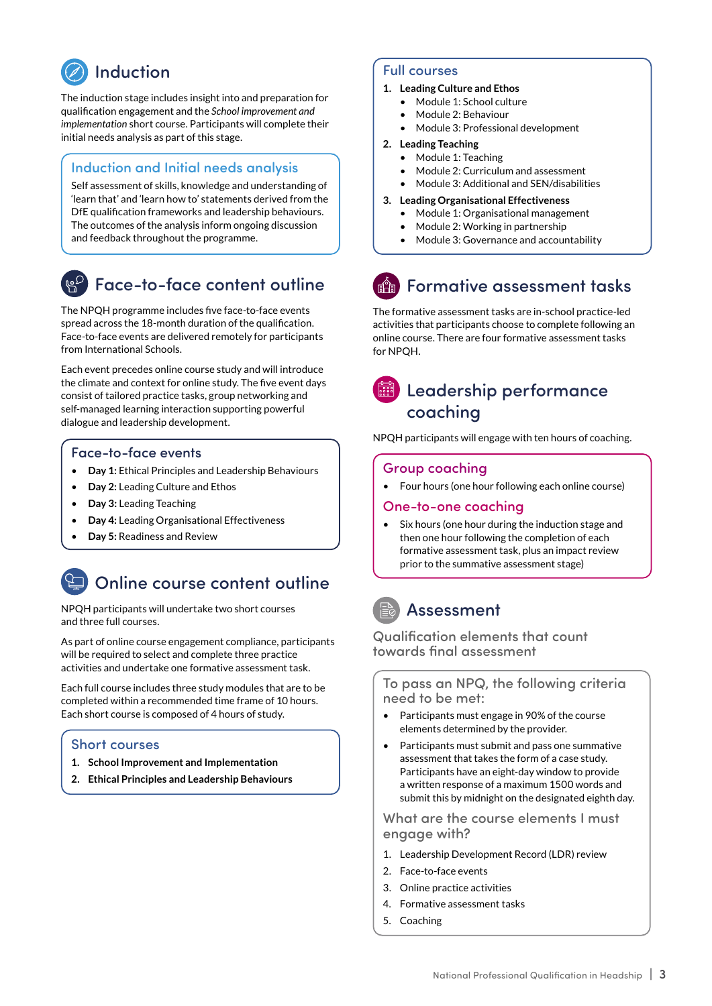# Induction

The induction stage includes insight into and preparation for qualification engagement and the *School improvement and implementation* short course. Participants will complete their initial needs analysis as part of this stage.

#### Induction and Initial needs analysis

Self assessment of skills, knowledge and understanding of 'learn that' and 'learn how to' statements derived from the DfE qualification frameworks and leadership behaviours. The outcomes of the analysis inform ongoing discussion and feedback throughout the programme.

### Face-to-face content outline

The NPQH programme includes five face-to-face events spread across the 18-month duration of the qualification. Face-to-face events are delivered remotely for participants from International Schools.

Each event precedes online course study and will introduce the climate and context for online study. The five event days consist of tailored practice tasks, group networking and self-managed learning interaction supporting powerful dialogue and leadership development.

### Face-to-face events

- **Day 1:** Ethical Principles and Leadership Behaviours
- **Day 2:** Leading Culture and Ethos
- **Day 3:** Leading Teaching
- **Day 4:** Leading Organisational Effectiveness
- **Day 5:** Readiness and Review

### Online course content outline

NPQH participants will undertake two short courses and three full courses.

As part of online course engagement compliance, participants will be required to select and complete three practice activities and undertake one formative assessment task.

Each full course includes three study modules that are to be completed within a recommended time frame of 10 hours. Each short course is composed of 4 hours of study.

#### Short courses

- **1. School Improvement and Implementation**
- **2. Ethical Principles and Leadership Behaviours**

#### Full courses

- **1. Leading Culture and Ethos**
	- Module 1: School culture
	- Module 2: Behaviour
	- Module 3: Professional development

#### **2. Leading Teaching**

- Module 1: Teaching
- Module 2: Curriculum and assessment
- Module 3: Additional and SEN/disabilities

#### **3. Leading Organisational Effectiveness**

- Module 1: Organisational management
- Module 2: Working in partnership
- Module 3: Governance and accountability

# Formative assessment tasks

The formative assessment tasks are in-school practice-led activities that participants choose to complete following an online course. There are four formative assessment tasks for NPQH.

### $\left[\begin{matrix}\mathbf{H}\mathbf{B}\end{matrix}\right]$  Leadership performance coaching

NPQH participants will engage with ten hours of coaching.

### Group coaching

• Four hours (one hour following each online course)

#### One-to-one coaching

Six hours (one hour during the induction stage and then one hour following the completion of each formative assessment task, plus an impact review prior to the summative assessment stage)

### Assessment

Qualification elements that count towards final assessment

To pass an NPQ, the following criteria need to be met:

- Participants must engage in 90% of the course elements determined by the provider.
- Participants must submit and pass one summative assessment that takes the form of a case study. Participants have an eight-day window to provide a written response of a maximum 1500 words and submit this by midnight on the designated eighth day.

#### What are the course elements I must engage with?

- 1. Leadership Development Record (LDR) review
- 2. Face-to-face events
- 3. Online practice activities
- 4. Formative assessment tasks
- 5. Coaching